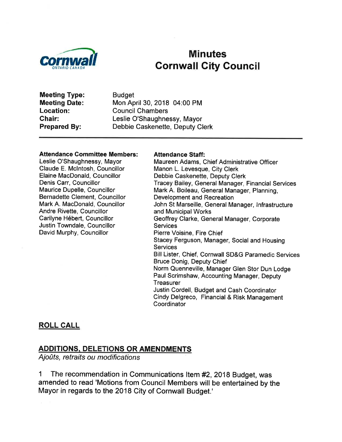

# **Minutes Cornwall City Council**

**Meeting Type: Meeting Date:** Location: Chair: **Prepared By:** 

**Budget** Mon April 30, 2018 04:00 PM **Council Chambers** Leslie O'Shaughnessy, Mayor Debbie Caskenette, Deputy Clerk

#### **Attendance Committee Members:**

Leslie O'Shaughnessy, Mayor Claude E. McIntosh, Councillor Elaine MacDonald, Councillor Denis Carr, Councillor Maurice Dupelle, Councillor Bernadette Clement, Councillor Mark A. MacDonald, Councillor Andre Rivette, Councillor Carilyne Hébert, Councillor Justin Towndale, Councillor David Murphy, Councillor

#### **Attendance Staff:**

Maureen Adams, Chief Administrative Officer Manon L. Levesque, City Clerk Debbie Caskenette, Deputy Clerk Tracey Bailey, General Manager, Financial Services Mark A. Boileau, General Manager, Planning, **Development and Recreation** John St Marseille, General Manager, Infrastructure and Municipal Works Geoffrey Clarke, General Manager, Corporate **Services** Pierre Voisine, Fire Chief Stacey Ferguson, Manager, Social and Housing **Services** Bill Lister, Chief, Cornwall SD&G Paramedic Services **Bruce Donig, Deputy Chief** Norm Quenneville, Manager Glen Stor Dun Lodge Paul Scrimshaw, Accounting Manager, Deputy Treasurer Justin Cordell, Budget and Cash Coordinator Cindy Delgreco, Financial & Risk Management Coordinator

#### **ROLL CALL**

### **ADDITIONS, DELETIONS OR AMENDMENTS**

Ajoûts, retraits ou modifications

The recommendation in Communications Item #2, 2018 Budget, was 1 amended to read 'Motions from Council Members will be entertained by the Mayor in regards to the 2018 City of Cornwall Budget.'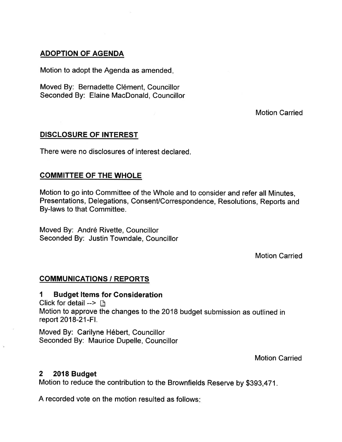### ADOPTION OF AGENDA

Motion to adopt the Agenda as amended

Moved By: Bernadette Clément, Councillor Seconded By: Elaine MacDonald, Councillor

Motion Carried

### DISCLOSURE OF INTEREST

There were no disclosures of interest declared.

### COMMITTEE OF THE WHOLE

Motion to go into Committee of the Whole and to consider and refer all Minutes, Presentations, Delegations, Consent/Correspondence, Resolutions, Reports and By-laws to that Committee.

Moved By: André Rivette, Councillor Seconded By: Justin Towndale, Councillor

Motion Carried

### COMMUNICATIONS / REPORTS

#### 1 Budget Items for Consideration

Click for detail  $\rightarrow \Box$ Motion to approve the changes to the 2018 budget submission as outlined in report 2018-21-Fl.

Moved By: Carilyne Hébert, Councillor Seconded By: Maurice Dupelle, Councillor

Motion Carried

### 2 2018 Budget

Motion to reduce the contribution to the Brownfields Reserve by \$393,471.

A recorded vote on the motion resulted as follows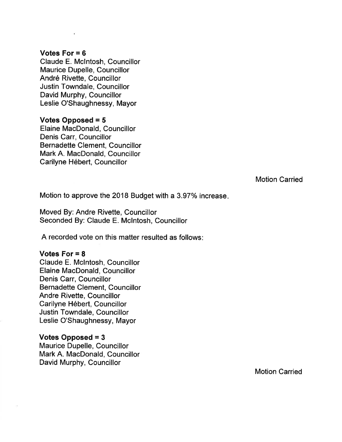#### Votes For  $= 6$

Claude E. Mclntosh, Councillor Maurice Dupelle, Councillor André Rivette, Councillor Justin Towndale, Councillor David Murphy, Councillor Leslie O'Shaughnessy, Mayor

#### Votes Opposed = 5 Elaine MacDonald, Councillor

Denis Carr, Councillor Bernadette Clement, Councillor Mark A. MacDonald, Councillor Carilyne Hébert, Councillor

Motion Carried

Motion to approve the 2018 Budget with a 3.97% increase.

Moved By: Andre Rivette, Councillor Seconded By: Claude E. Mclntosh, Councillor

A recorded vote on this matter resulted as follows

#### Votes For = <sup>8</sup>

Claude E. Mclntosh, Councillor Elaine MacDonald, Councillor Denis Carr, Councillor Bernadette Clement, Councillor Andre Rivette, Councillor Carilyne Hébert, Councillor Justin Towndale, Councillor Leslie O'Shaughnessy, Mayor

#### Votes Opposed = 3

Maurice Dupelle, Councillor Mark A. MacDonald, Councillor David Murphy, Councillor

Motion Carried